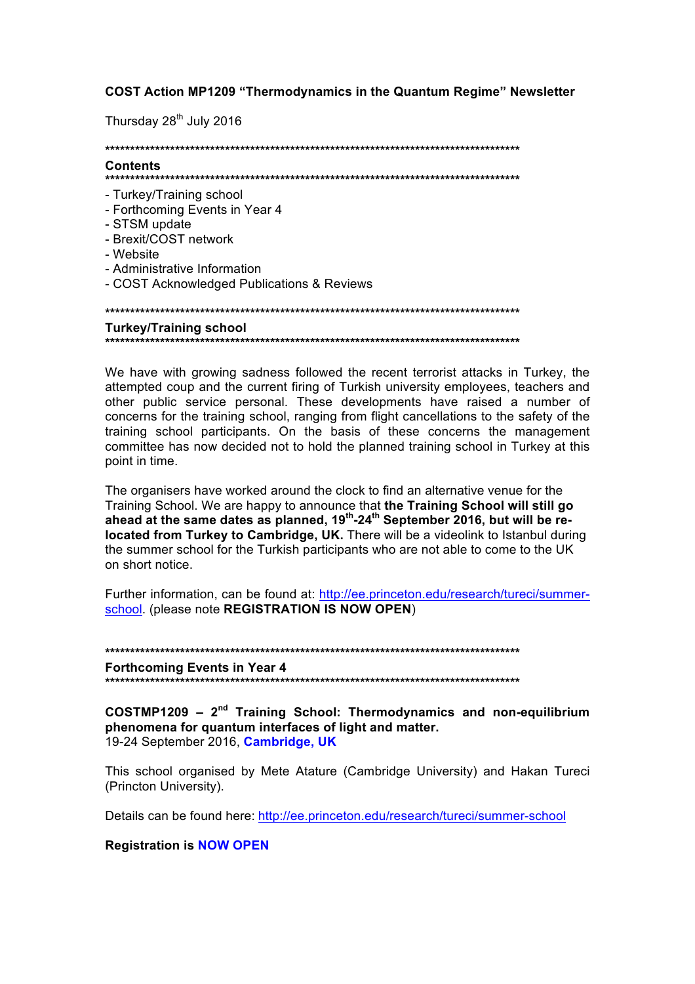COST Action MP1209 "Thermodynamics in the Quantum Regime" Newsletter

Thursday 28<sup>th</sup> July 2016

Contante

- Turkey/Training school
- Forthcoming Events in Year 4
- STSM update
- Brexit/COST network
- Website
- Administrative Information
- COST Acknowledged Publications & Reviews

**Turkey/Training school** 

We have with growing sadness followed the recent terrorist attacks in Turkey, the attempted coup and the current firing of Turkish university employees, teachers and other public service personal. These developments have raised a number of concerns for the training school, ranging from flight cancellations to the safety of the training school participants. On the basis of these concerns the management committee has now decided not to hold the planned training school in Turkey at this point in time.

The organisers have worked around the clock to find an alternative venue for the Training School. We are happy to announce that the Training School will still go ahead at the same dates as planned, 19<sup>th</sup>-24<sup>th</sup> September 2016, but will be relocated from Turkey to Cambridge, UK. There will be a videolink to Istanbul during the summer school for the Turkish participants who are not able to come to the UK on short notice.

Further information, can be found at: http://ee.princeton.edu/research/tureci/summerschool. (please note REGISTRATION IS NOW OPEN)

**Forthcoming Events in Year 4** 

 $COSTMP1209 - 2<sup>nd</sup>$  Training School: Thermodynamics and non-equilibrium phenomena for quantum interfaces of light and matter. 19-24 September 2016, Cambridge, UK

This school organised by Mete Atature (Cambridge University) and Hakan Tureci (Princton University).

Details can be found here: http://ee.princeton.edu/research/tureci/summer-school

**Registration is NOW OPEN**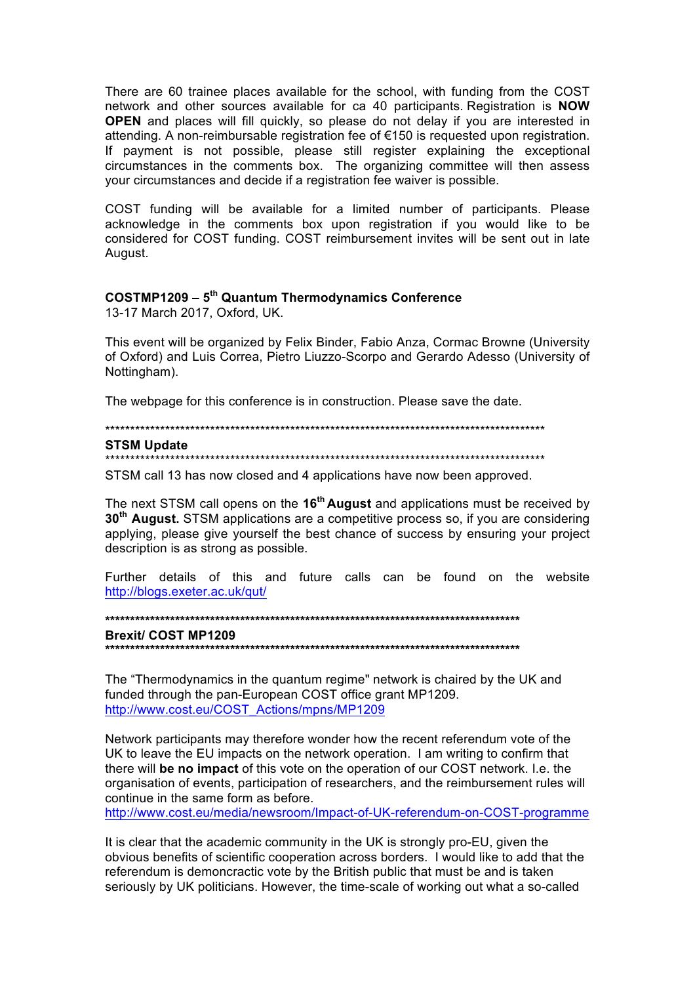There are 60 trainee places available for the school, with funding from the COST network and other sources available for ca 40 participants. Registration is NOW **OPEN** and places will fill quickly, so please do not delay if you are interested in attending. A non-reimbursable registration fee of €150 is requested upon registration. If payment is not possible, please still register explaining the exceptional circumstances in the comments box. The organizing committee will then assess your circumstances and decide if a registration fee waiver is possible.

COST funding will be available for a limited number of participants. Please acknowledge in the comments box upon registration if you would like to be considered for COST funding. COST reimbursement invites will be sent out in late August.

# **COSTMP1209 - 5th Quantum Thermodynamics Conference**

13-17 March 2017, Oxford, UK.

This event will be organized by Felix Binder, Fabio Anza, Cormac Browne (University of Oxford) and Luis Correa, Pietro Liuzzo-Scorpo and Gerardo Adesso (University of Nottingham).

The webpage for this conference is in construction. Please save the date.

## **STSM Update**

STSM call 13 has now closed and 4 applications have now been approved.

The next STSM call opens on the 16<sup>th</sup> August and applications must be received by 30<sup>th</sup> August. STSM applications are a competitive process so, if you are considering applying, please give yourself the best chance of success by ensuring your project description is as strong as possible.

Further details of this and future calls can be found on the website http://blogs.exeter.ac.uk/qut/

**Brexit/ COST MP1209** 

The "Thermodynamics in the quantum regime" network is chaired by the UK and funded through the pan-European COST office grant MP1209. http://www.cost.eu/COST Actions/mpns/MP1209

Network participants may therefore wonder how the recent referendum vote of the UK to leave the EU impacts on the network operation. I am writing to confirm that there will be no impact of this vote on the operation of our COST network. I.e. the organisation of events, participation of researchers, and the reimbursement rules will continue in the same form as before.

http://www.cost.eu/media/newsroom/Impact-of-UK-referendum-on-COST-programme

It is clear that the academic community in the UK is strongly pro-EU, given the obvious benefits of scientific cooperation across borders. I would like to add that the referendum is demoncractic vote by the British public that must be and is taken seriously by UK politicians. However, the time-scale of working out what a so-called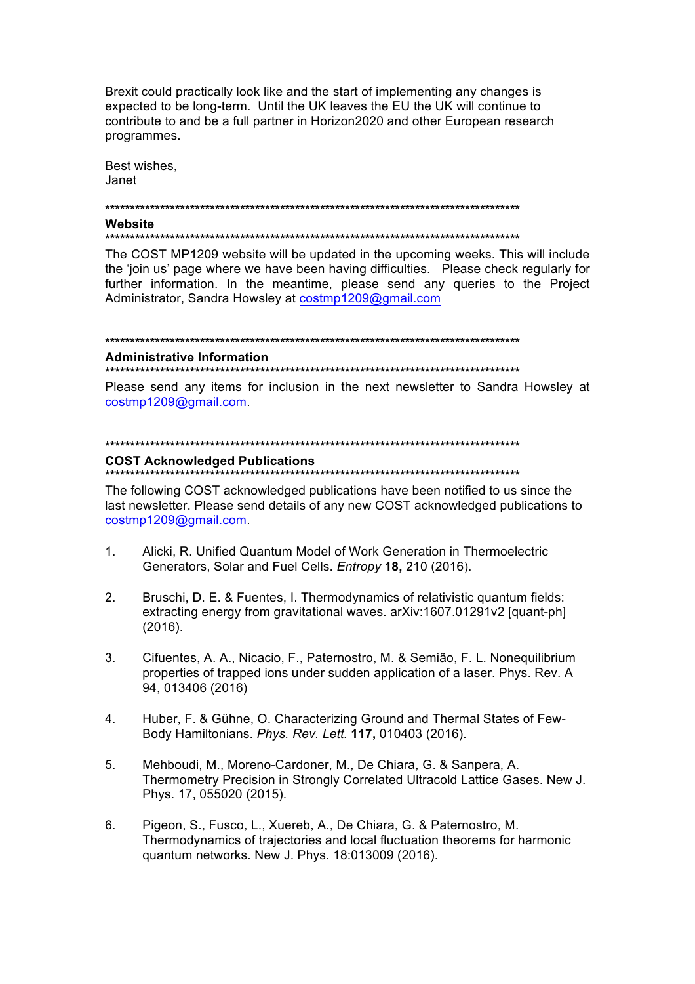Brexit could practically look like and the start of implementing any changes is expected to be long-term. Until the UK leaves the EU the UK will continue to contribute to and be a full partner in Horizon2020 and other European research programmes.

Best wishes, Janet

## Website

## 

The COST MP1209 website will be updated in the upcoming weeks. This will include the 'join us' page where we have been having difficulties. Please check regularly for further information. In the meantime, please send any queries to the Project Administrator, Sandra Howsley at costmp1209@gmail.com

#### 

## **Administrative Information**

## 

Please send any items for inclusion in the next newsletter to Sandra Howsley at costmp1209@gmail.com.

#### 

## **COST Acknowledged Publications**

#### 

The following COST acknowledged publications have been notified to us since the last newsletter. Please send details of any new COST acknowledged publications to costmp1209@gmail.com.

- $1$ Alicki, R. Unified Quantum Model of Work Generation in Thermoelectric Generators, Solar and Fuel Cells. Entropy 18, 210 (2016).
- $2<sup>1</sup>$ Bruschi, D. E. & Fuentes, I. Thermodynamics of relativistic quantum fields: extracting energy from gravitational waves. arXiv:1607.01291v2 [quant-ph]  $(2016).$
- $3<sub>1</sub>$ Cifuentes, A. A., Nicacio, F., Paternostro, M. & Semião, F. L. Nonequilibrium properties of trapped ions under sudden application of a laser. Phys. Rev. A 94, 013406 (2016)
- $4.$ Huber, F. & Gühne, O. Characterizing Ground and Thermal States of Few-Body Hamiltonians. Phys. Rev. Lett. 117, 010403 (2016).
- $5<sub>1</sub>$ Mehboudi, M., Moreno-Cardoner, M., De Chiara, G. & Sanpera, A. Thermometry Precision in Strongly Correlated Ultracold Lattice Gases. New J. Phys. 17, 055020 (2015).
- 6. Pigeon, S., Fusco, L., Xuereb, A., De Chiara, G. & Paternostro, M. Thermodynamics of trajectories and local fluctuation theorems for harmonic quantum networks. New J. Phys. 18:013009 (2016).